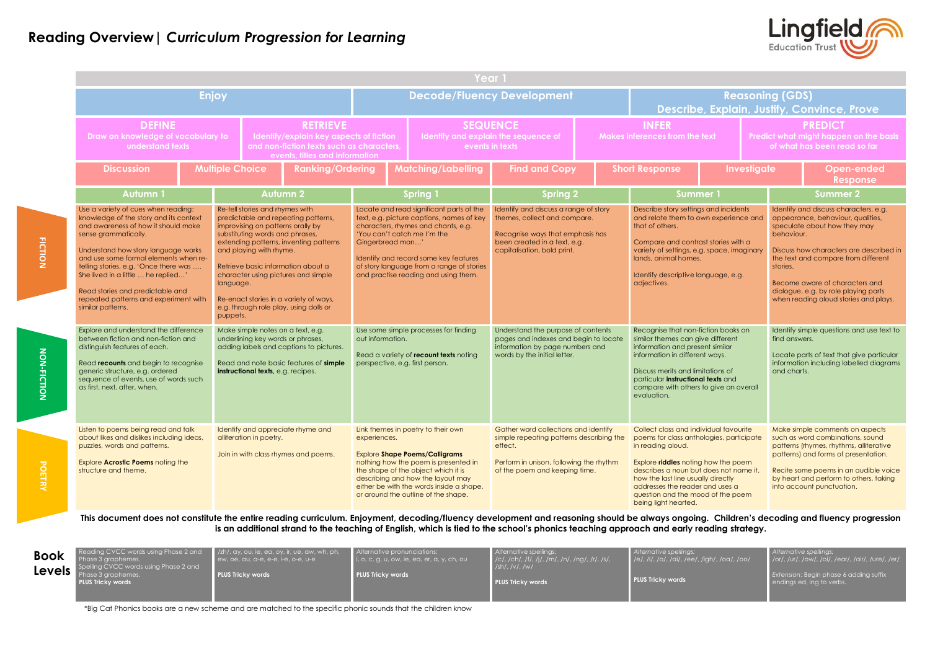|                                                                                                                                                                                                                                                                                                                                                                                                               |              |                                                                                                                                                                                                                                                                                                                                                                                                   |                                                                                                                                                                                                                       |                                                                                                                                                                                                                                                                                                               | Year 1                                                                                                                                                                                                                                                                             |                                                                                                                                                                          |                                                |                                                                                                                                                                                                                                                                                                                                |                    |                                                                                          |                                                                                                                                                                                                                                                                                                                                           |                                                                                                                                   |
|---------------------------------------------------------------------------------------------------------------------------------------------------------------------------------------------------------------------------------------------------------------------------------------------------------------------------------------------------------------------------------------------------------------|--------------|---------------------------------------------------------------------------------------------------------------------------------------------------------------------------------------------------------------------------------------------------------------------------------------------------------------------------------------------------------------------------------------------------|-----------------------------------------------------------------------------------------------------------------------------------------------------------------------------------------------------------------------|---------------------------------------------------------------------------------------------------------------------------------------------------------------------------------------------------------------------------------------------------------------------------------------------------------------|------------------------------------------------------------------------------------------------------------------------------------------------------------------------------------------------------------------------------------------------------------------------------------|--------------------------------------------------------------------------------------------------------------------------------------------------------------------------|------------------------------------------------|--------------------------------------------------------------------------------------------------------------------------------------------------------------------------------------------------------------------------------------------------------------------------------------------------------------------------------|--------------------|------------------------------------------------------------------------------------------|-------------------------------------------------------------------------------------------------------------------------------------------------------------------------------------------------------------------------------------------------------------------------------------------------------------------------------------------|-----------------------------------------------------------------------------------------------------------------------------------|
|                                                                                                                                                                                                                                                                                                                                                                                                               | <b>Enjoy</b> |                                                                                                                                                                                                                                                                                                                                                                                                   |                                                                                                                                                                                                                       |                                                                                                                                                                                                                                                                                                               |                                                                                                                                                                                                                                                                                    | <b>Decode/Fluency Development</b>                                                                                                                                        |                                                |                                                                                                                                                                                                                                                                                                                                |                    |                                                                                          | <b>Reasoning (GDS)</b>                                                                                                                                                                                                                                                                                                                    | Describe, Explain, Justify, Convince, Prove                                                                                       |
| <b>DEFINE</b><br><b>RETRIEVE</b><br>Draw on knowledge of vocabulary to<br>Identify/explain key aspects of fiction<br>and non-fiction texts such as characters,<br>understand texts<br>events, titles and information                                                                                                                                                                                          |              |                                                                                                                                                                                                                                                                                                                                                                                                   | <b>SEQUENCE</b><br>Identify and explain the sequence of<br>events in texts                                                                                                                                            |                                                                                                                                                                                                                                                                                                               |                                                                                                                                                                                                                                                                                    |                                                                                                                                                                          | <b>INFER</b><br>Makes inferences from the text |                                                                                                                                                                                                                                                                                                                                |                    | <b>PREDICT</b><br>Predict what might happen on the basis<br>of what has been read so far |                                                                                                                                                                                                                                                                                                                                           |                                                                                                                                   |
| <b>Discussion</b>                                                                                                                                                                                                                                                                                                                                                                                             |              | <b>Multiple Choice</b><br><b>Ranking/Ordering</b>                                                                                                                                                                                                                                                                                                                                                 |                                                                                                                                                                                                                       |                                                                                                                                                                                                                                                                                                               | <b>Matching/Labelling</b>                                                                                                                                                                                                                                                          | <b>Find and Copy</b>                                                                                                                                                     |                                                | <b>Short Response</b>                                                                                                                                                                                                                                                                                                          | <b>Investigate</b> |                                                                                          |                                                                                                                                                                                                                                                                                                                                           | <b>Open-ended</b><br><b>Response</b>                                                                                              |
| Autumn 1                                                                                                                                                                                                                                                                                                                                                                                                      |              | <b>Autumn 2</b>                                                                                                                                                                                                                                                                                                                                                                                   |                                                                                                                                                                                                                       |                                                                                                                                                                                                                                                                                                               | <b>Spring 1</b>                                                                                                                                                                                                                                                                    | <b>Spring 2</b>                                                                                                                                                          |                                                |                                                                                                                                                                                                                                                                                                                                | <b>Summer 1</b>    |                                                                                          | <b>Summer 2</b>                                                                                                                                                                                                                                                                                                                           |                                                                                                                                   |
| Use a variety of cues when reading:<br>knowledge of the story and its context<br>and awareness of how it should make<br>sense grammatically.<br>Understand how story language works<br>and use some formal elements when re-<br>telling stories, e.g. 'Once there was<br>She lived in a little  he replied'<br>Read stories and predictable and<br>repeated patterns and experiment with<br>similar patterns. | puppets.     | Re-tell stories and rhymes with<br>predictable and repeating patterns,<br>improvising on patterns orally by<br>substituting words and phrases,<br>extending patterns, inventing patterns<br>and playing with rhyme.<br>Retrieve basic information about a<br>character using pictures and simple<br>language.<br>Re-enact stories in a variety of ways,<br>e.g. through role play, using dolls or |                                                                                                                                                                                                                       | Locate and read significant parts of the<br>text, e.g. picture captions, names of key<br>characters, rhymes and chants, e.g.<br>'You can't catch me I'm the<br>Gingerbread man'<br>Identify and record some key features<br>of story language from a range of stories<br>and practise reading and using them. |                                                                                                                                                                                                                                                                                    | Identify and discuss a range of story<br>themes, collect and compare.<br>Recognise ways that emphasis has<br>been created in a text, e.g.<br>capitalisation, bold print. |                                                | Describe story settings and incidents<br>and relate them to own experience and<br>that of others.<br>Compare and contrast stories with a<br>variety of settings, e.g. space, imaginary<br>lands, animal homes.<br>Identify descriptive language, e.g.<br>adjectives.                                                           |                    |                                                                                          | Identify and discuss characters, e.g.<br>appearance, behaviour, qualities,<br>speculate about how they may<br>behaviour.<br>Discuss how characters are described in<br>the text and compare from different<br>stories.<br>Become aware of characters and<br>dialogue, e.g. by role playing parts<br>when reading aloud stories and plays. |                                                                                                                                   |
| Explore and understand the difference<br>between fiction and non-fiction and<br>distinguish features of each.<br>Read recounts and begin to recognise<br>generic structure, e.g. ordered<br>sequence of events, use of words such<br>as first, next, after, when.                                                                                                                                             |              |                                                                                                                                                                                                                                                                                                                                                                                                   | Make simple notes on a text, e.g.<br>out information.<br>underlining key words or phrases,<br>adding labels and captions to pictures.<br>Read and note basic features of simple<br>instructional texts, e.g. recipes. |                                                                                                                                                                                                                                                                                                               | Use some simple processes for finding<br>Read a variety of recount texts noting<br>perspective, e.g. first person.                                                                                                                                                                 | Understand the purpose of contents<br>pages and indexes and begin to locate<br>information by page numbers and<br>words by the initial letter.                           |                                                | Recognise that non-fiction books on<br>similar themes can give different<br>information and present similar<br>information in different ways.<br>Discuss merits and limitations of<br>particular instructional texts and<br>compare with others to give an overall<br>evaluation.                                              |                    |                                                                                          | find answers.<br>and charts.                                                                                                                                                                                                                                                                                                              | Identify simple questions and use text to<br>Locate parts of text that give particular<br>information including labelled diagrams |
| Listen to poems being read and talk<br>about likes and dislikes including ideas,<br>puzzles, words and patterns.<br>Explore <b>Acrostic Poems</b> noting the<br>structure and theme.                                                                                                                                                                                                                          |              | alliteration in poetry.                                                                                                                                                                                                                                                                                                                                                                           | Identify and appreciate rhyme and<br>Join in with class rhymes and poems.                                                                                                                                             | experiences.                                                                                                                                                                                                                                                                                                  | Link themes in poetry to their own<br><b>Explore Shape Poems/Calligrams</b><br>nothing how the poem is presented in<br>the shape of the object which it is<br>describing and how the layout may<br>either be with the words inside a shape,<br>or around the outline of the shape. | Gather word collections and identify<br>simple repeating patterns describing the<br>effect.<br>Perform in unison, following the rhythm<br>of the poem and keeping time.  |                                                | Collect class and individual favourite<br>poems for class anthologies, participate<br>in reading aloud.<br>Explore riddles noting how the poem<br>describes a noun but does not name it,<br>how the last line usually directly<br>addresses the reader and uses a<br>question and the mood of the poem<br>being light hearted. |                    |                                                                                          | Make simple comments on aspects<br>such as word combinations, sound<br>patterns (rhymes, rhythms, alliterative<br>patterns) and forms of presentation.<br>Recite some poems in an audible voice<br>by heart and perform to others, taking<br>into account punctuation.                                                                    |                                                                                                                                   |

igh/, /oa/, /oo/ *Alternative spellings:* /or/, /ur/, /ow/, /oi/, /ear/, /air/, /ure/, /er/ *Extension*: Begin phase 6 adding suffix endings ed, ing to verbs.

POETRY



**This document does not constitute the entire reading curriculum. Enjoyment, decoding/fluency development and reasoning should be always ongoing. Children's decoding and fluency progression is an additional strand to the teaching of English, which is tied to the school's phonics teaching approach and early reading strategy.**

| <b>Book</b><br><b>Levels</b> | Reading CVCC words using Phase 2 and<br>Phase 3 graphemes.<br>Spelling CVCC words using Phase 2 and<br>Phase 3 graphemes.<br><b>PLUS Tricky words</b> | $\mid$ /zh/, ay, ou, ie, ea, oy, ir, ue, aw, wh, ph, $\mid$<br>ew, de, qu, q-e, e-e, i-e, o-e, u-e<br><b>PLUS Tricky words</b> | Alternative pronunciations:<br>$\vert$ i, o, c, g, u, ow, ie, ea, er, a, y, ch, ou<br><b>PLUS Tricky words</b> | Alternative spellings:<br>$\mid$ /c/, /ch/, /f/, /j/, /m/, /n/, /ng/, /r/, /s/, $\mid$<br>$/sh/$ , /v/, /w/<br><b>PLUS Tricky words</b> | Alternative spellings:<br>  /e/, /i/, /o/, /ai/, /ee/, ,<br><b>PLUS Tricky words</b> |
|------------------------------|-------------------------------------------------------------------------------------------------------------------------------------------------------|--------------------------------------------------------------------------------------------------------------------------------|----------------------------------------------------------------------------------------------------------------|-----------------------------------------------------------------------------------------------------------------------------------------|--------------------------------------------------------------------------------------|
|------------------------------|-------------------------------------------------------------------------------------------------------------------------------------------------------|--------------------------------------------------------------------------------------------------------------------------------|----------------------------------------------------------------------------------------------------------------|-----------------------------------------------------------------------------------------------------------------------------------------|--------------------------------------------------------------------------------------|

\*Big Cat Phonics books are a new scheme and are matched to the specific phonic sounds that the children know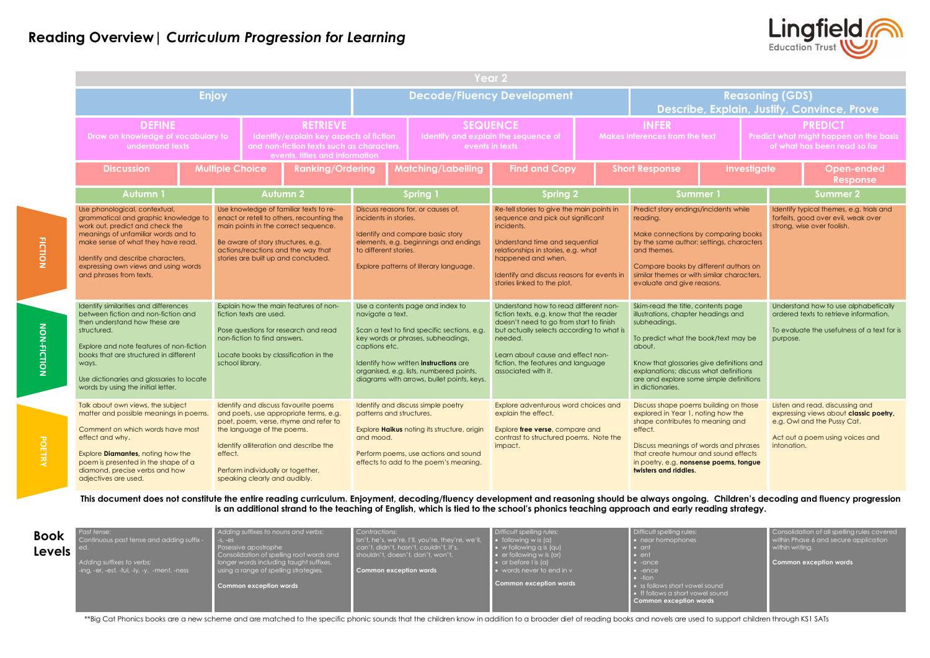|                                                                                                                                                                                                                                                                                                                |                        |                                                                                                                                                                                                                                                |                                                                                                                                                                                                                        |           |                                                                                                                                                                                                                                                         | Year 2                                                                                                                                                                                                                                                                                 |  |                                                                                                                                                                                                                                                                                                   |             |                 |                                                                                          |                                                                                                                                             |
|----------------------------------------------------------------------------------------------------------------------------------------------------------------------------------------------------------------------------------------------------------------------------------------------------------------|------------------------|------------------------------------------------------------------------------------------------------------------------------------------------------------------------------------------------------------------------------------------------|------------------------------------------------------------------------------------------------------------------------------------------------------------------------------------------------------------------------|-----------|---------------------------------------------------------------------------------------------------------------------------------------------------------------------------------------------------------------------------------------------------------|----------------------------------------------------------------------------------------------------------------------------------------------------------------------------------------------------------------------------------------------------------------------------------------|--|---------------------------------------------------------------------------------------------------------------------------------------------------------------------------------------------------------------------------------------------------------------------------------------------------|-------------|-----------------|------------------------------------------------------------------------------------------|---------------------------------------------------------------------------------------------------------------------------------------------|
|                                                                                                                                                                                                                                                                                                                | Enjoy                  |                                                                                                                                                                                                                                                |                                                                                                                                                                                                                        |           |                                                                                                                                                                                                                                                         | <b>Decode/Fluency Development</b>                                                                                                                                                                                                                                                      |  |                                                                                                                                                                                                                                                                                                   |             |                 | <b>Reasoning (GDS)</b>                                                                   | Describe, Explain, Justify, Convince, Prove                                                                                                 |
| <b>DEFINE</b><br>Draw on knowledge of vocabulary to<br>understand texts                                                                                                                                                                                                                                        |                        | <b>RETRIEVE</b><br>Identify/explain key aspects of fiction<br>and non-fiction texts such as characters,<br>events, titles and information                                                                                                      |                                                                                                                                                                                                                        |           |                                                                                                                                                                                                                                                         | <b>SEQUENCE</b><br>Identify and explain the sequence of<br>events in texts                                                                                                                                                                                                             |  | <b>INFER</b><br>Makes inferences from the text                                                                                                                                                                                                                                                    |             |                 | <b>PREDICT</b><br>Predict what might happen on the basis<br>of what has been read so far |                                                                                                                                             |
| <b>Discussion</b>                                                                                                                                                                                                                                                                                              | <b>Multiple Choice</b> |                                                                                                                                                                                                                                                | <b>Ranking/Ordering</b>                                                                                                                                                                                                |           | <b>Matching/Labelling</b>                                                                                                                                                                                                                               | <b>Find and Copy</b>                                                                                                                                                                                                                                                                   |  | <b>Short Response</b>                                                                                                                                                                                                                                                                             | Investigate |                 |                                                                                          | <b>Open-ended</b><br><b>Response</b>                                                                                                        |
| Autumn 1                                                                                                                                                                                                                                                                                                       |                        | <b>Autumn 2</b>                                                                                                                                                                                                                                |                                                                                                                                                                                                                        |           | Spring 1                                                                                                                                                                                                                                                | <b>Spring 2</b>                                                                                                                                                                                                                                                                        |  | Summer 1                                                                                                                                                                                                                                                                                          |             | <b>Summer 2</b> |                                                                                          |                                                                                                                                             |
| Use phonological, contextual,<br>grammatical and graphic knowledge to<br>work out, predict and check the<br>meanings of unfamiliar words and to<br>make sense of what they have read.<br>Identify and describe characters,<br>expressing own views and using words<br>and phrases from texts.                  |                        | Use knowledge of familiar texts to re-<br>enact or retell to others, recounting the<br>main points in the correct sequence.<br>Be aware of story structures, e.g.<br>actions/reactions and the way that<br>stories are built up and concluded. |                                                                                                                                                                                                                        |           | Discuss reasons for, or causes of,<br>incidents in stories.<br>Identify and compare basic story<br>elements, e.g. beginnings and endings<br>to different stories.<br>Explore patterns of literary language.                                             | Re-tell stories to give the main points in<br>sequence and pick out significant<br>incidents.<br>Understand time and sequential<br>relationships in stories, e.g. what<br>happened and when.<br>Identify and discuss reasons for events in<br>stories linked to the plot.              |  | Predict story endings/incidents while<br>reading.<br>Make connections by comparing books<br>by the same author: settings, characters<br>and themes.<br>Compare books by different authors on<br>similar themes or with similar characters.<br>evaluate and give reasons.                          |             |                 |                                                                                          | Identify typical themes, e.g. trials and<br>forfeits, good over evil, weak over<br>strong, wise over foolish.                               |
| Identify similarities and differences<br>between fiction and non-fiction and<br>then understand how these are<br>structured.<br>Explore and note features of non-fiction<br>books that are structured in different<br>ways.<br>Use dictionaries and glossaries to locate<br>words by using the initial letter. | school library.        |                                                                                                                                                                                                                                                | Explain how the main features of non-<br>fiction texts are used.<br>navigate a text.<br>Pose questions for research and read<br>non-fiction to find answers.<br>captions etc.<br>Locate books by classification in the |           | Use a contents page and index to<br>Scan a text to find specific sections, e.g.<br>key words or phrases, subheadings,<br>Identify how written instructions are<br>organised, e.g. lists, numbered points,<br>diagrams with arrows, bullet points, keys. | Understand how to read different non-<br>fiction texts, e.g. know that the reader<br>doesn't need to go from start to finish<br>but actually selects according to what is<br>needed.<br>Learn about cause and effect non-<br>fiction, the features and language<br>associated with it. |  | Skim-read the title, contents page<br>illustrations, chapter headings and<br>subheadings.<br>To predict what the book/text may be<br>about.<br>Know that glossaries give definitions and<br>explanations; discuss what definitions<br>are and explore some simple definitions<br>in dictionaries. |             |                 | purpose.                                                                                 | Understand how to use alphabetically<br>ordered texts to retrieve information.<br>To evaluate the usefulness of a text for is               |
| Talk about own views, the subject<br>matter and possible meanings in poems.<br>Comment on which words have most<br>effect and why.<br>Explore Diamantes, noting how the<br>poem is presented in the shape of a<br>diamond, precise verbs and how<br>adjectives are used.                                       | effect.                | the language of the poems.<br>Perform individually or together,<br>speaking clearly and audibly.                                                                                                                                               | Identify and discuss favourite poems<br>and poets, use appropriate terms, e.g.<br>poet, poem, verse, rhyme and refer to<br>Identify alliteration and describe the                                                      | and mood. | Identify and discuss simple poetry<br>patterns and structures.<br>Explore <b>Haikus</b> noting its structure, origin<br>Perform poems, use actions and sound<br>effects to add to the poem's meaning.                                                   | Explore adventurous word choices and<br>explain the effect.<br>Explore free verse, compare and<br>contrast to structured poems. Note the<br>impact.                                                                                                                                    |  | Discuss shape poems building on those<br>explored in Year 1, noting how the<br>shape contributes to meaning and<br>effect.<br>Discuss meanings of words and phrases<br>that create humour and sound effects<br>in poetry, e.g. nonsense poems, tongue<br>twisters and riddles.                    |             |                 | intonation.                                                                              | Listen and read, discussing and<br>expressing views about classic poetry,<br>e.g. Owl and the Pussy Cat.<br>Act out a poem using voices and |

**NON-FICTION FICTION POETRY POETRY** 

NON-FICTION

POETRY

**FICTION** 

**This document does not constitute the entire reading curriculum. Enjoyment, decoding/fluency development and reasoning should be always ongoing. Children's decoding and fluency progression is an additional strand to the teaching of English, which is tied to the school's phonics teaching approach and early reading strategy.**

| <b>Book</b>   | Past tense:<br>Continuous past tense and adding suffix - | Adding suffixes to nouns and verbs:<br>$-S, -ES$                                                                     | Contractions:<br>Isn't, he's, we're, I'll, you're, they're, we'll,          | Difficult spelling rules:<br>$\bullet$ following w is (a)                                           | Difficult spelling rules:<br>$\bullet$ near homophones                                       |
|---------------|----------------------------------------------------------|----------------------------------------------------------------------------------------------------------------------|-----------------------------------------------------------------------------|-----------------------------------------------------------------------------------------------------|----------------------------------------------------------------------------------------------|
| <b>Levels</b> | l ed.<br>Adding suffixes to verbs:                       | Posessive apostrophe<br>Consolidation of spelling root words and<br><b>I</b> longer words including taught suffixes, | can't, didn't, hasn't, couldn't, it's,<br>shouldn't, doesn't, don't, won't. | $\bullet$ w following q is (qu)<br>$\bullet$ er following w is (or)<br>$\bullet$ or before l is (a) | $\bullet$ ant<br>$\bullet$ ent<br>$\bullet$ -ance                                            |
|               | -ing, -er, -est, -ful, -ly, -y, -ment, -ness             | using a range of spelling strategies.                                                                                | Common exception words                                                      | $\bullet$ words never to end in v                                                                   | $\bullet$ -ence<br>$\bullet$ -tion                                                           |
|               |                                                          | <b>Common exception words</b>                                                                                        |                                                                             | Common exception words                                                                              | • ss follows short vowel sound<br>• If follows a short vowel sound<br>Common exception words |

Consolidation of all spelling rules covered within Phase 6 and secure application within writing. **Common exception words**

\*\*Big Cat Phonics books are a new scheme and are matched to the specific phonic sounds that the children know in addition to a broader diet of reading books and novels are used to support children through KS1 SATs

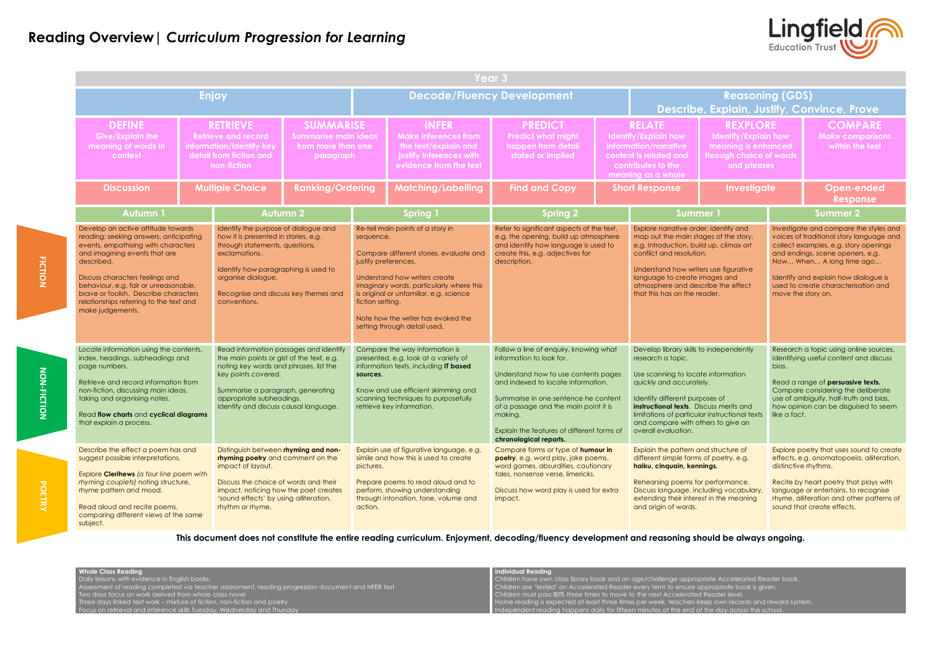|  | Year 3                                                                                                                                                                                                                                                                                                                                                                                                                                                                                                                                                               |                                                                                                                                                                                                                                                       |                                                                                                                                                                                                                                                                |                         |                                                                                                                          |                                                                                                                                                                                                                                                                            |                                                                                                                                                                                                                                                                                            |  |                                                                                                                                                                                                                                                                                                                          |                                                                                                          |                                                                                                                                                                                                                                                                                                  |                                                                                                                                                                                                                                                    |  |
|--|----------------------------------------------------------------------------------------------------------------------------------------------------------------------------------------------------------------------------------------------------------------------------------------------------------------------------------------------------------------------------------------------------------------------------------------------------------------------------------------------------------------------------------------------------------------------|-------------------------------------------------------------------------------------------------------------------------------------------------------------------------------------------------------------------------------------------------------|----------------------------------------------------------------------------------------------------------------------------------------------------------------------------------------------------------------------------------------------------------------|-------------------------|--------------------------------------------------------------------------------------------------------------------------|----------------------------------------------------------------------------------------------------------------------------------------------------------------------------------------------------------------------------------------------------------------------------|--------------------------------------------------------------------------------------------------------------------------------------------------------------------------------------------------------------------------------------------------------------------------------------------|--|--------------------------------------------------------------------------------------------------------------------------------------------------------------------------------------------------------------------------------------------------------------------------------------------------------------------------|----------------------------------------------------------------------------------------------------------|--------------------------------------------------------------------------------------------------------------------------------------------------------------------------------------------------------------------------------------------------------------------------------------------------|----------------------------------------------------------------------------------------------------------------------------------------------------------------------------------------------------------------------------------------------------|--|
|  |                                                                                                                                                                                                                                                                                                                                                                                                                                                                                                                                                                      | <b>Enjoy</b>                                                                                                                                                                                                                                          |                                                                                                                                                                                                                                                                |                         |                                                                                                                          |                                                                                                                                                                                                                                                                            | <b>Decode/Fluency Development</b>                                                                                                                                                                                                                                                          |  |                                                                                                                                                                                                                                                                                                                          | <b>Reasoning (GDS)</b>                                                                                   |                                                                                                                                                                                                                                                                                                  | Describe, Explain, Justify, Convince, Prove                                                                                                                                                                                                        |  |
|  | <b>DEFINE</b><br><b>Give/Explain the</b><br>meaning of words in<br>context                                                                                                                                                                                                                                                                                                                                                                                                                                                                                           |                                                                                                                                                                                                                                                       | <b>SUMMARISE</b><br><b>RETRIEVE</b><br><b>Retrieve and record</b><br><b>Summarise main ideas</b><br>information/identify key<br>from more than one<br>detail from fiction and<br>paragraph<br>non-fiction                                                      |                         | <b>INFER</b><br><b>Make inferences from</b><br>the text/explain and<br>justify inferences with<br>evidence from the text |                                                                                                                                                                                                                                                                            | <b>PREDICT</b><br><b>Predict what might</b><br>happen from detail<br>stated or implied                                                                                                                                                                                                     |  | <b>RELATE</b><br><b>Identify/Explain how</b><br>information/narrative<br>content is related and<br>contributes to the<br>meaning as a whole                                                                                                                                                                              | <b>REXPLORE</b><br>Identify/Explain how<br>meaning is enhanced<br>through choice of words<br>and phrases |                                                                                                                                                                                                                                                                                                  | <b>COMPARE</b><br><b>Make comparisons</b><br>within the text                                                                                                                                                                                       |  |
|  | <b>Discussion</b>                                                                                                                                                                                                                                                                                                                                                                                                                                                                                                                                                    |                                                                                                                                                                                                                                                       | <b>Multiple Choice</b>                                                                                                                                                                                                                                         | <b>Ranking/Ordering</b> | <b>Matching/Labelling</b>                                                                                                |                                                                                                                                                                                                                                                                            | <b>Find and Copy</b>                                                                                                                                                                                                                                                                       |  | <b>Short Response</b>                                                                                                                                                                                                                                                                                                    | <b>Investigate</b>                                                                                       |                                                                                                                                                                                                                                                                                                  | <b>Open-ended</b><br><b>Response</b>                                                                                                                                                                                                               |  |
|  | <b>Autumn1</b>                                                                                                                                                                                                                                                                                                                                                                                                                                                                                                                                                       |                                                                                                                                                                                                                                                       |                                                                                                                                                                                                                                                                | <b>Autumn 2</b>         |                                                                                                                          | <b>Spring 1</b>                                                                                                                                                                                                                                                            | <b>Spring 2</b>                                                                                                                                                                                                                                                                            |  | <b>Summer 1</b>                                                                                                                                                                                                                                                                                                          |                                                                                                          | <b>Summer 2</b>                                                                                                                                                                                                                                                                                  |                                                                                                                                                                                                                                                    |  |
|  | Develop an active attitude towards<br>reading: seeking answers, anticipating<br>events, empathising with characters<br>and imagining events that are<br>described.<br>Discuss characters feelings and<br>behaviour, e.g. fair or unreasonable,<br>brave or foolish. Describe characters<br>relationships referring to the text and<br>make judgements.                                                                                                                                                                                                               | Identify the purpose of dialogue and<br>how it is presented in stories, e.g.<br>through statements, questions,<br>exclamations.<br>Identify how paragraphing is used to<br>organise dialogue.<br>Recognise and discuss key themes and<br>conventions. |                                                                                                                                                                                                                                                                |                         | sequence.<br>justify preferences.<br>fiction setting.                                                                    | Re-tell main points of a story in<br>Compare different stories, evaluate and<br>Understand how writers create<br>imaginary words, particularly where this<br>is original or unfamiliar, e.g. science<br>Note how the writer has evoked the<br>setting through detail used. | Refer to significant aspects of the text,<br>e.g. the opening, build up atmosphere<br>and identify how language is used to<br>create this, e.g. adjectives for<br>description.                                                                                                             |  | Explore narrative order: identify and<br>map out the main stages of the story,<br>e.g. Introduction, build up, climax ort<br>conflict and resolution.<br>Understand how writers use figurative<br>language to create images and<br>atmosphere and describe the effect<br>that this has on the reader.                    |                                                                                                          | Investigate and compare the styles and<br>voices of traditional story language and<br>collect examples, e.g. story openings<br>and endings, scene openers, e.g.<br>Now When A long time ago<br>Identify and explain how dialogue is<br>used to create characterisation and<br>move the story on. |                                                                                                                                                                                                                                                    |  |
|  | Locate information using the contents,<br>index, headings, subheadings and<br>page numbers.<br>Retrieve and record information from<br>non-fiction, discussing main ideas,<br>taking and organising notes.<br>Read flow charts and cyclical diagrams<br>that explain a process.<br>Describe the effect a poem has and<br>suggest possible interpretations.<br>Explore <b>Clerihews</b> (a four line poem with<br>rhyming couplets) noting structure,<br>rhyme pattern and mood.<br>Read aloud and recite poems,<br>comparing different views of the same<br>subject. |                                                                                                                                                                                                                                                       | Read information passages and identify<br>the main points or gist of the text, e.g.<br>noting key words and phrases, list the<br>key points covered.<br>Summarise a paragraph, generating<br>appropriate subheadings.<br>Identify and discuss causal language. |                         | sources.                                                                                                                 | Compare the way information is<br>presented, e.g. look at a variety of<br>information texts, including IT based<br>Know and use efficient skimming and<br>scanning techniques to purposefully<br>retrieve key information.                                                 | Follow a line of enquiry, knowing what<br>information to look for.<br>Understand how to use contents pages<br>and indexed to locate information.<br>Summarise in one sentence he content<br>of a passage and the main point it is<br>making.<br>Explain the features of different forms of |  | Develop library skills to independently<br>research a topic.<br>Use scanning to locate information<br>quickly and accurately.<br>Identify different purposes of<br>instructional texts. Discuss merits and<br>limitations of particular instructional texts<br>and compare with others to give an<br>overall evaluation. |                                                                                                          | Research a topic using online sources,<br>identifying useful content and discuss<br>bias.<br>Read a range of persuasive texts.<br>Compare considering the deliberate<br>use of ambiguity, half-truth and bias,<br>how opinion can be disguised to seem<br>like a fact.                           |                                                                                                                                                                                                                                                    |  |
|  |                                                                                                                                                                                                                                                                                                                                                                                                                                                                                                                                                                      |                                                                                                                                                                                                                                                       | Distinguish between rhyming and non-<br>rhyming poetry and comment on the<br>impact of layout.<br>Discuss the choice of words and their<br>impact, noticing how the poet creates<br>'sound effects' by using alliteration,<br>rhythm or rhyme.                 |                         | pictures.<br>action.                                                                                                     | Explain use of figurative language, e.g.<br>simile and how this is used to create<br>Prepare poems to read aloud and to<br>perform, showing understanding<br>through intonation, tone, volume and                                                                          | chronological reports.<br>Compare forms or type of humour in<br>poetry, e.g. word play, joke poems,<br>word games, absurdities, cautionary<br>tales, nonsense verse, limericks.<br>Discuss how word play is used for extra<br>impact.                                                      |  | Explain the pattern and structure of<br>different simple forms of poetry, e.g.<br>haiku, cinquain, kennings.<br>Rehearsing poems for performance.<br>Discuss language, including vocabulary,<br>extending their interest in the meaning<br>and origin of words.                                                          |                                                                                                          | distinctive rhythms.                                                                                                                                                                                                                                                                             | Explore poetry that uses sound to create<br>effects, e.g. onomatopoeia, alliteration,<br>Recite by heart poetry that plays with<br>language or entertains, to recognise<br>rhyme, alliteration and other patterns of<br>sound that create effects. |  |



- 
- 
- bwn records and reward system.
- day across the school.

**This document does not constitute the entire reading curriculum. Enjoyment, decoding/fluency development and reasoning should be always ongoing.** 

| <b>Whole Class Reading</b>                                                                         | <b>Individual Reading</b>                                                                           |
|----------------------------------------------------------------------------------------------------|-----------------------------------------------------------------------------------------------------|
| Daily lessons with evidence in English books.                                                      | Children have own class library book and an age/challenge appropriate Accelerated Reader book       |
| Assessment of reading completed via teacher assessment, reading progression document and NFER test | Children are 'tested' on Accelerated Reader every term to ensure appropriate book is given.         |
| Two days focus on work derived from whole class novel                                              | Children must pass 80% three times to move to the next Accelerated Reader level.                    |
| Three days linked text work – mixture of fiction, non-fiction and poetry                           | Home reading is expected at least three times per week, teachers keep own records and reward system |
| Focus on retrieval and inference skills Tuesday, Wednesday and Thursday                            | Independent reading happens daily for fifteen minutes at the end of the day across the school.      |
|                                                                                                    |                                                                                                     |

**FICTION**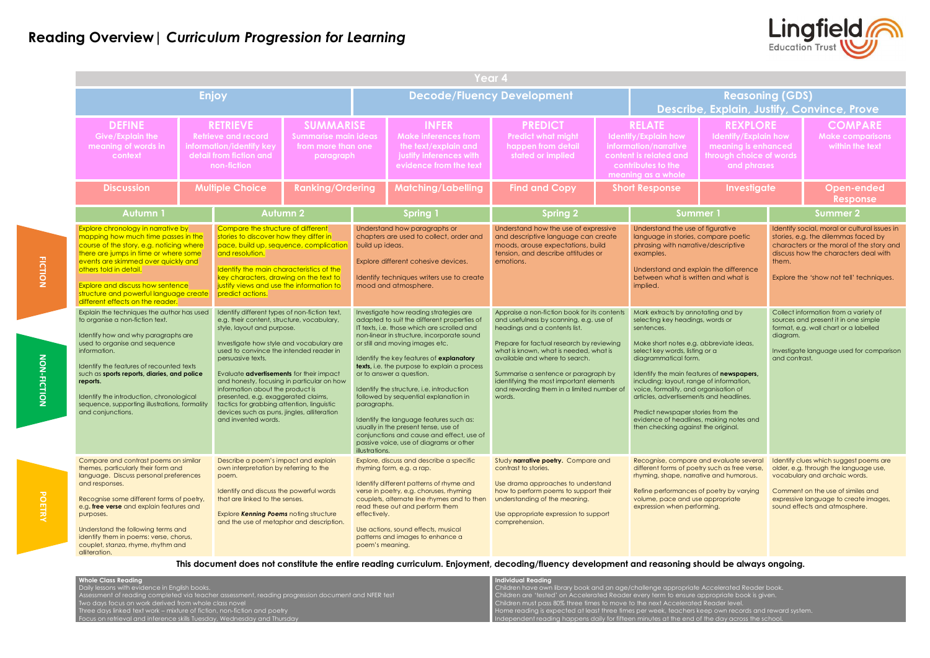|  | Year 4                                                                                                                                                                                                                                                                                                                                                                                                                                                                                                                                                                                                                                                                                                                                                                                                                                                                                                                                                                                                                                                                                                                                              |  |                                                                                                                                                                                                                                                                                                                                                                                                                                                                                                                                                                                                                                                                                                                                                                                                                                          |                         |                                                                                                                          |                                                                                                                                                                                                                                                                                                                                                                                                                                                                                                                                                                                                                                                                                                                                                                                                               |                                                                                                                                                                                                                                                                                                                                                                                                                                                                                                                                                                    |  |                                                                                                                                                                                                                                                                                                                                                                                                                                                                                                                                                                                                                                                                                                                           |                                                                                                          |                                                                                                                                                                                                                                                                                                                                                                                                                                                                                                                                                                                                                                                                   |                                                              |
|--|-----------------------------------------------------------------------------------------------------------------------------------------------------------------------------------------------------------------------------------------------------------------------------------------------------------------------------------------------------------------------------------------------------------------------------------------------------------------------------------------------------------------------------------------------------------------------------------------------------------------------------------------------------------------------------------------------------------------------------------------------------------------------------------------------------------------------------------------------------------------------------------------------------------------------------------------------------------------------------------------------------------------------------------------------------------------------------------------------------------------------------------------------------|--|------------------------------------------------------------------------------------------------------------------------------------------------------------------------------------------------------------------------------------------------------------------------------------------------------------------------------------------------------------------------------------------------------------------------------------------------------------------------------------------------------------------------------------------------------------------------------------------------------------------------------------------------------------------------------------------------------------------------------------------------------------------------------------------------------------------------------------------|-------------------------|--------------------------------------------------------------------------------------------------------------------------|---------------------------------------------------------------------------------------------------------------------------------------------------------------------------------------------------------------------------------------------------------------------------------------------------------------------------------------------------------------------------------------------------------------------------------------------------------------------------------------------------------------------------------------------------------------------------------------------------------------------------------------------------------------------------------------------------------------------------------------------------------------------------------------------------------------|--------------------------------------------------------------------------------------------------------------------------------------------------------------------------------------------------------------------------------------------------------------------------------------------------------------------------------------------------------------------------------------------------------------------------------------------------------------------------------------------------------------------------------------------------------------------|--|---------------------------------------------------------------------------------------------------------------------------------------------------------------------------------------------------------------------------------------------------------------------------------------------------------------------------------------------------------------------------------------------------------------------------------------------------------------------------------------------------------------------------------------------------------------------------------------------------------------------------------------------------------------------------------------------------------------------------|----------------------------------------------------------------------------------------------------------|-------------------------------------------------------------------------------------------------------------------------------------------------------------------------------------------------------------------------------------------------------------------------------------------------------------------------------------------------------------------------------------------------------------------------------------------------------------------------------------------------------------------------------------------------------------------------------------------------------------------------------------------------------------------|--------------------------------------------------------------|
|  |                                                                                                                                                                                                                                                                                                                                                                                                                                                                                                                                                                                                                                                                                                                                                                                                                                                                                                                                                                                                                                                                                                                                                     |  | <b>Enjoy</b>                                                                                                                                                                                                                                                                                                                                                                                                                                                                                                                                                                                                                                                                                                                                                                                                                             |                         |                                                                                                                          |                                                                                                                                                                                                                                                                                                                                                                                                                                                                                                                                                                                                                                                                                                                                                                                                               | <b>Decode/Fluency Development</b>                                                                                                                                                                                                                                                                                                                                                                                                                                                                                                                                  |  |                                                                                                                                                                                                                                                                                                                                                                                                                                                                                                                                                                                                                                                                                                                           | <b>Reasoning (GDS)</b>                                                                                   |                                                                                                                                                                                                                                                                                                                                                                                                                                                                                                                                                                                                                                                                   | Describe, Explain, Justify, Convince, Prove                  |
|  | <b>DEFINE</b><br><b>Give/Explain the</b><br>meaning of words in<br>context                                                                                                                                                                                                                                                                                                                                                                                                                                                                                                                                                                                                                                                                                                                                                                                                                                                                                                                                                                                                                                                                          |  | <b>SUMMARISE</b><br><b>RETRIEVE</b><br><b>Retrieve and record</b><br><b>Summarise main ideas</b><br>information/identify key<br>from more than one<br>detail from fiction and<br>paragraph<br>non-fiction                                                                                                                                                                                                                                                                                                                                                                                                                                                                                                                                                                                                                                |                         | <b>INFER</b><br><b>Make inferences from</b><br>the text/explain and<br>justify inferences with<br>evidence from the text |                                                                                                                                                                                                                                                                                                                                                                                                                                                                                                                                                                                                                                                                                                                                                                                                               | <b>PREDICT</b><br><b>Predict what might</b><br>happen from detail<br>stated or implied                                                                                                                                                                                                                                                                                                                                                                                                                                                                             |  | <b>RELATE</b><br>Identify/Explain how<br>information/narrative<br>content is related and<br>contributes to the<br>meaning as a whole                                                                                                                                                                                                                                                                                                                                                                                                                                                                                                                                                                                      | <b>REXPLORE</b><br>Identify/Explain how<br>meaning is enhanced<br>through choice of words<br>and phrases |                                                                                                                                                                                                                                                                                                                                                                                                                                                                                                                                                                                                                                                                   | <b>COMPARE</b><br><b>Make comparisons</b><br>within the text |
|  | <b>Discussion</b>                                                                                                                                                                                                                                                                                                                                                                                                                                                                                                                                                                                                                                                                                                                                                                                                                                                                                                                                                                                                                                                                                                                                   |  | <b>Multiple Choice</b>                                                                                                                                                                                                                                                                                                                                                                                                                                                                                                                                                                                                                                                                                                                                                                                                                   | <b>Ranking/Ordering</b> |                                                                                                                          | <b>Matching/Labelling</b>                                                                                                                                                                                                                                                                                                                                                                                                                                                                                                                                                                                                                                                                                                                                                                                     | <b>Find and Copy</b>                                                                                                                                                                                                                                                                                                                                                                                                                                                                                                                                               |  | <b>Short Response</b>                                                                                                                                                                                                                                                                                                                                                                                                                                                                                                                                                                                                                                                                                                     | <b>Investigate</b>                                                                                       | <b>Open-ended</b><br><b>Response</b>                                                                                                                                                                                                                                                                                                                                                                                                                                                                                                                                                                                                                              |                                                              |
|  | <b>Autumn1</b>                                                                                                                                                                                                                                                                                                                                                                                                                                                                                                                                                                                                                                                                                                                                                                                                                                                                                                                                                                                                                                                                                                                                      |  |                                                                                                                                                                                                                                                                                                                                                                                                                                                                                                                                                                                                                                                                                                                                                                                                                                          | <b>Autumn 2</b>         |                                                                                                                          | <b>Spring 1</b>                                                                                                                                                                                                                                                                                                                                                                                                                                                                                                                                                                                                                                                                                                                                                                                               | <b>Spring 2</b>                                                                                                                                                                                                                                                                                                                                                                                                                                                                                                                                                    |  | Summer 1                                                                                                                                                                                                                                                                                                                                                                                                                                                                                                                                                                                                                                                                                                                  |                                                                                                          | <b>Summer 2</b>                                                                                                                                                                                                                                                                                                                                                                                                                                                                                                                                                                                                                                                   |                                                              |
|  | Explore chronology in narrative by<br>mapping how much time passes in the<br>course of the story, e.g. noticing where<br>there are jumps in time or where some<br>events are skimmed over quickly and<br>others told in detail.<br><b>Explore and discuss how sentence</b><br>structure and powerful language create<br>different effects on the reader.<br>Explain the techniques the author has used<br>to organise a non-fiction text.<br>Identify how and why paragraphs are<br>used to organise and sequence<br>information.<br>Identify the features of recounted texts<br>such as sports reports, diaries, and police<br>reports.<br>Identify the introduction, chronological<br>sequence, supporting illustrations, formality<br>and conjunctions.<br>Compare and contrast poems on similar<br>themes, particularly their form and<br>language. Discuss personal preferences<br>and responses.<br>Recognise some different forms of poetry,<br>e.g. free verse and explain features and<br>purposes.<br>Understand the following terms and<br>identify them in poems: verse, chorus,<br>couplet, stanza, rhyme, rhythm and<br>alliteration. |  | Compare the structure of different<br>stories to discover how they differ in<br>pace, build up, sequence, complication<br>and resolution.<br>Identify the main characteristics of the<br>key characters, drawing on the text to<br>justify views and use the information to<br>predict actions.<br>Identify different types of non-fiction text,<br>e.g. their content, structure, vocabulary,<br>style, layout and purpose.<br>Investigate how style and vocabulary are<br>used to convince the intended reader in<br>persuasive texts.<br>Evaluate <b>advertisements</b> for their impact<br>and honesty, focusing in particular on how<br>information about the product is<br>presented, e.g. exaggerated claims,<br>tactics for grabbing attention, linguistic<br>devices such as puns, jingles, alliteration<br>and invented words. |                         | build up ideas.<br>paragraphs.<br>illustrations.                                                                         | Understand how paragraphs or<br>chapters are used to collect, order and<br>Explore different cohesive devices.<br>Identify techniques writers use to create<br>mood and atmosphere.<br>Investigate how reading strategies are<br>adapted to suit the different properties of<br>IT texts, i.e. those which are scrolled and<br>non-linear in structure, incorporate sound<br>or still and moving images etc.<br>Identify the key features of explanatory<br><b>texts</b> , i.e. the purpose to explain a process<br>or to answer a question.<br>Identify the structure, i.e. introduction<br>followed by sequential explanation in<br>Identify the language features such as:<br>usually in the present tense, use of<br>conjunctions and cause and effect, use of<br>passive voice, use of diagrams or other | Understand how the use of expressive<br>and descriptive language can create<br>moods, arouse expectations, build<br>tension, and describe attitudes or<br>emotions.<br>Appraise a non-fiction book for its contents<br>and usefulness by scanning, e.g. use of<br>headings and a contents list.<br>Prepare for factual research by reviewing<br>what is known, what is needed, what is<br>available and where to search.<br>Summarise a sentence or paragraph by<br>identifying the most important elements<br>and rewording them in a limited number of<br>words. |  | Understand the use of figurative<br>language in stories, compare poetic<br>phrasing with narrative/descriptive<br>examples.<br>Understand and explain the difference<br>between what is written and what is<br>implied.<br>Mark extracts by annotating and by<br>selecting key headings, words or<br>sentences.<br>Make short notes e.g. abbreviate ideas,<br>select key words, listing or a<br>diagrammatical form.<br>Identify the main features of newspapers,<br>including: layout, range of information,<br>voice, formality, and organisation of<br>articles, advertisements and headlines.<br>Predict newspaper stories from the<br>evidence of headlines, making notes and<br>then checking against the original. |                                                                                                          | Identify social, moral or cultural issues in<br>stories, e.g. the dilemmas faced by<br>characters or the moral of the story and<br>discuss how the characters deal with<br>them.<br>Explore the 'show not tell' techniques.<br>Collect information from a variety of<br>sources and present it in one simple<br>format, e.g. wall chart or a labelled<br>diagram.<br>Investigate language used for comparison<br>and contrast.<br>Identify clues which suggest poems are<br>older, e.g. through the language use,<br>vocabulary and archaic words.<br>Comment on the use of similes and<br>expressive language to create images,<br>sound effects and atmosphere. |                                                              |
|  |                                                                                                                                                                                                                                                                                                                                                                                                                                                                                                                                                                                                                                                                                                                                                                                                                                                                                                                                                                                                                                                                                                                                                     |  | Describe a poem's impact and explain<br>own interpretation by referring to the<br>poem.<br>Identify and discuss the powerful words<br>that are linked to the senses.<br>Explore Kenning Poems noting structure<br>and the use of metaphor and description.                                                                                                                                                                                                                                                                                                                                                                                                                                                                                                                                                                               |                         | effectively.<br>poem's meaning.                                                                                          | Explore, discuss and describe a specific<br>rhyming form, e.g. a rap.<br>Identify different patterns of rhyme and<br>verse in poetry, e.g. choruses, rhyming<br>couplets, alternate line rhymes and to then<br>read these out and perform them<br>Use actions, sound effects, musical<br>patterns and images to enhance a                                                                                                                                                                                                                                                                                                                                                                                                                                                                                     | Study narrative poetry. Compare and<br>contrast to stories.<br>Use drama approaches to understand<br>how to perform poems to support their<br>understanding of the meaning.<br>Use appropriate expression to support<br>comprehension.                                                                                                                                                                                                                                                                                                                             |  | Recognise, compare and evaluate several<br>different forms of poetry such as free verse,<br>rhyming, shape, narrative and humorous.<br>Refine performances of poetry by varying<br>volume, pace and use appropriate<br>expression when performing.                                                                                                                                                                                                                                                                                                                                                                                                                                                                        |                                                                                                          |                                                                                                                                                                                                                                                                                                                                                                                                                                                                                                                                                                                                                                                                   |                                                              |



**This document does not constitute the entire reading curriculum. Enjoyment, decoding/fluency development and reasoning should be always ongoing.** 

| <b>Whole Class Reading</b>                                                                         | <b>I</b> Individual Readina                                                                                         |
|----------------------------------------------------------------------------------------------------|---------------------------------------------------------------------------------------------------------------------|
| Daily lessons with evidence in English books.                                                      | Children have own library book and an age/challenge appropriate Accelerated Reader book.                            |
| Assessment of reading completed via teacher assessment, reading progression document and NFER test | Children are 'tested' on Accelerated Reader every term to ensure appropriate book is given.                         |
| Two days focus on work derived from whole class novel                                              | Children must pass 80% three times to move to the next Accelerated Reader level.                                    |
| Three days linked text work – mixture of fiction, non-fiction and poetry                           | $\blacksquare$ Home reading is expected at least three times per week, teachers keep own records and reward system. |
| Focus on retrieval and inference skills Tuesday, Wednesday and Thursday                            | $\Box$ Independent reading happens daily for fifteen minutes at the end of the day across the school.               |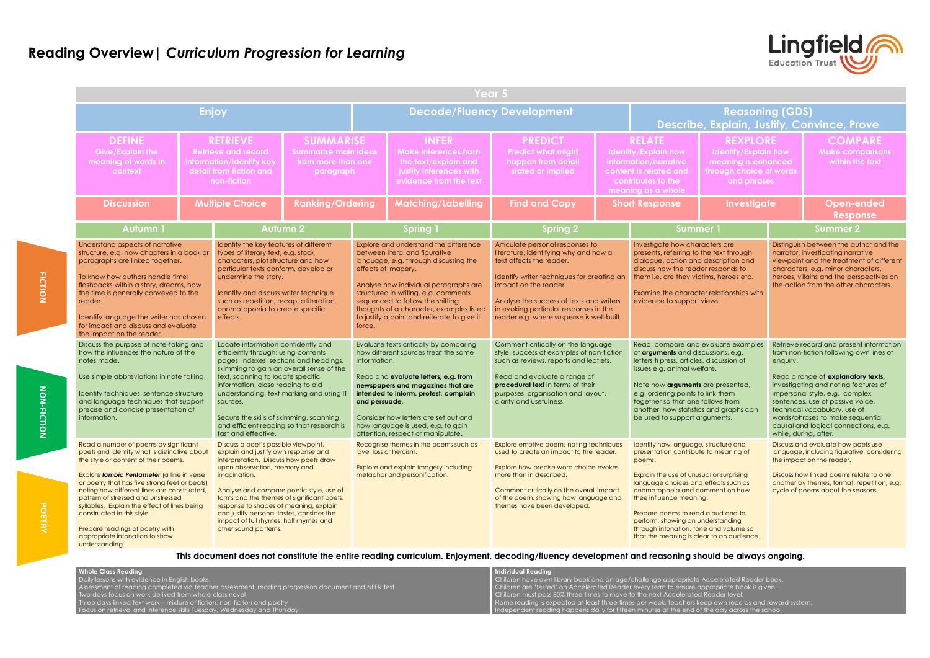|                                                                                                                                                                                                                                                                                                                                                                                                                                                                                        | Year 5 |                                                                                                                                                                                                                                                                                                                                                                                                                                                                                                                                                                                                                                                                                                                                            |                         |                                                                                                                                                                                                                                                                                                                                                          |                                                                                                                                                                                                                                                                                                                                                         |                                                                                                                                                                                                                                                                                                                 |  |                                                                                                                                                                                                                                                                                                                                                                                                             |                                                                                                          |                                                                                                                                                                                                                                                                                                                                                                |                                                              |  |
|----------------------------------------------------------------------------------------------------------------------------------------------------------------------------------------------------------------------------------------------------------------------------------------------------------------------------------------------------------------------------------------------------------------------------------------------------------------------------------------|--------|--------------------------------------------------------------------------------------------------------------------------------------------------------------------------------------------------------------------------------------------------------------------------------------------------------------------------------------------------------------------------------------------------------------------------------------------------------------------------------------------------------------------------------------------------------------------------------------------------------------------------------------------------------------------------------------------------------------------------------------------|-------------------------|----------------------------------------------------------------------------------------------------------------------------------------------------------------------------------------------------------------------------------------------------------------------------------------------------------------------------------------------------------|---------------------------------------------------------------------------------------------------------------------------------------------------------------------------------------------------------------------------------------------------------------------------------------------------------------------------------------------------------|-----------------------------------------------------------------------------------------------------------------------------------------------------------------------------------------------------------------------------------------------------------------------------------------------------------------|--|-------------------------------------------------------------------------------------------------------------------------------------------------------------------------------------------------------------------------------------------------------------------------------------------------------------------------------------------------------------------------------------------------------------|----------------------------------------------------------------------------------------------------------|----------------------------------------------------------------------------------------------------------------------------------------------------------------------------------------------------------------------------------------------------------------------------------------------------------------------------------------------------------------|--------------------------------------------------------------|--|
|                                                                                                                                                                                                                                                                                                                                                                                                                                                                                        |        | <b>Enjoy</b>                                                                                                                                                                                                                                                                                                                                                                                                                                                                                                                                                                                                                                                                                                                               |                         |                                                                                                                                                                                                                                                                                                                                                          |                                                                                                                                                                                                                                                                                                                                                         | <b>Decode/Fluency Development</b>                                                                                                                                                                                                                                                                               |  |                                                                                                                                                                                                                                                                                                                                                                                                             | <b>Reasoning (GDS)</b>                                                                                   |                                                                                                                                                                                                                                                                                                                                                                | Describe, Explain, Justify, Convince, Prove                  |  |
| <b>DEFINE</b><br><b>Give/Explain the</b><br>meaning of words in<br>context                                                                                                                                                                                                                                                                                                                                                                                                             |        | <b>SUMMARISE</b><br><b>RETRIEVE</b><br><b>Retrieve and record</b><br><b>Summarise main ideas</b><br>information/identify key<br>from more than one<br>detail from fiction and<br>paragraph<br>non-fiction                                                                                                                                                                                                                                                                                                                                                                                                                                                                                                                                  |                         | <b>INFER</b><br><b>Make inferences from</b><br>the text/explain and<br>justify inferences with<br>evidence from the text                                                                                                                                                                                                                                 |                                                                                                                                                                                                                                                                                                                                                         | <b>PREDICT</b><br><b>Predict what might</b><br>happen from detail<br>stated or implied                                                                                                                                                                                                                          |  | <b>RELATE</b><br>Identify/Explain how<br>information/narrative<br>content is related and<br>contributes to the<br>meaning as a whole                                                                                                                                                                                                                                                                        | <b>REXPLORE</b><br>Identify/Explain how<br>meaning is enhanced<br>through choice of word:<br>and phrases |                                                                                                                                                                                                                                                                                                                                                                | <b>COMPARE</b><br><b>Make comparisons</b><br>within the text |  |
| <b>Discussion</b>                                                                                                                                                                                                                                                                                                                                                                                                                                                                      |        | <b>Multiple Choice</b>                                                                                                                                                                                                                                                                                                                                                                                                                                                                                                                                                                                                                                                                                                                     | <b>Ranking/Ordering</b> |                                                                                                                                                                                                                                                                                                                                                          | <b>Matching/Labelling</b>                                                                                                                                                                                                                                                                                                                               | <b>Find and Copy</b>                                                                                                                                                                                                                                                                                            |  | <b>Short Response</b><br><b>Investigate</b>                                                                                                                                                                                                                                                                                                                                                                 |                                                                                                          |                                                                                                                                                                                                                                                                                                                                                                | <b>Open-ended</b><br><b>Response</b>                         |  |
| <b>Autumn1</b>                                                                                                                                                                                                                                                                                                                                                                                                                                                                         |        |                                                                                                                                                                                                                                                                                                                                                                                                                                                                                                                                                                                                                                                                                                                                            | <b>Autumn 2</b>         |                                                                                                                                                                                                                                                                                                                                                          | <b>Spring 1</b>                                                                                                                                                                                                                                                                                                                                         | <b>Spring 2</b>                                                                                                                                                                                                                                                                                                 |  | <b>Summer 1</b>                                                                                                                                                                                                                                                                                                                                                                                             |                                                                                                          | <b>Summer 2</b>                                                                                                                                                                                                                                                                                                                                                |                                                              |  |
| Understand aspects of narrative<br>structure, e.g. how chapters in a book or<br>paragraphs are linked together.<br>To know how authors handle time:<br>flashbacks within a story, dreams, how<br>the time is generally conveyed to the<br>reader.<br>Identify language the writer has chosen<br>for impact and discuss and evaluate<br>the impact on the reader.                                                                                                                       |        | Identify the key features of different<br>types of literary text, e.g. stock<br>characters, plot structure and how<br>particular texts conform, develop or<br>undermine the story.<br>Identify and discuss writer technique<br>such as repetition, recap, alliteration,<br>onomatopoeia to create specific<br>effects.<br>Locate information confidently and<br>efficiently through: using contents<br>pages, indexes, sections and headings,<br>skimming to gain an overall sense of the<br>text, scanning to locate specific<br>information, close reading to aid<br>understanding, text marking and using IT<br>sources.<br>Secure the skills of skimming, scanning<br>and efficient reading so that research is<br>fast and effective. |                         | force.                                                                                                                                                                                                                                                                                                                                                   | Explore and understand the difference<br>between literal and figurative<br>language, e.g. through discussing the<br>effects of imagery.<br>Analyse how individual paragraphs are<br>structured in writing, e.g. comments<br>sequenced to follow the shifting<br>thoughts of a character, examples listed<br>to justify a point and reiterate to give it | Articulate personal responses to<br>literature, identifying why and how a<br>text affects the reader.<br>Identify writer techniques for creating an<br>impact on the reader.<br>Analyse the success of texts and writers<br>in evoking particular responses in the<br>reader e.g. where suspense is well-built. |  | Investigate how characters are<br>presents, referring to the text through<br>dialogue, action and description and<br>discuss how the reader responds to<br>them i.e. are they victims, heroes etc.<br>Examine the character relationships with<br>evidence to support views.                                                                                                                                |                                                                                                          | Distinguish between the author and the<br>narrator, investigating narrative<br>viewpoint and the treatment of different<br>characters, e.g. minor characters,<br>heroes, villains and the perspectives on<br>the action from the other characters.                                                                                                             |                                                              |  |
| Discuss the purpose of note-taking and<br>how this influences the nature of the<br>notes made.<br>Use simple abbreviations in note taking.<br>Identify techniques, sentence structure<br>and language techniques that support<br>precise and concise presentation of<br>information.                                                                                                                                                                                                   |        |                                                                                                                                                                                                                                                                                                                                                                                                                                                                                                                                                                                                                                                                                                                                            |                         | Evaluate texts critically by comparing<br>how different sources treat the same<br>information.<br>Read and evaluate letters, e.g. from<br>newspapers and magazines that are<br>intended to inform, protest, complain<br>and persuade.<br>Consider how letters are set out and<br>how language is used, e.g. to gain<br>attention, respect or manipulate. |                                                                                                                                                                                                                                                                                                                                                         | Comment critically on the language<br>style, success of examples of non-fiction<br>such as reviews, reports and leaflets.<br>Read and evaluate a range of<br>procedural text in terms of their<br>purposes, organisation and layout,<br>clarity and usefulness.                                                 |  | Read, compare and evaluate examples<br>of arguments and discussions, e.g.<br>letters ti press, articles, discussion of<br>issues e.g. animal welfare.<br>Note how arguments are presented<br>e.g. ordering points to link them<br>together so that one follows from<br>another, how statistics and graphs can<br>be used to support arguments.                                                              |                                                                                                          | Retrieve record and present information<br>from non-fiction following own lines of<br>enquiry.<br>Read a range of explanatory texts,<br>investigating and noting features of<br>impersonal style, e.g. complex<br>sentences, use of passive voice,<br>technical vocabulary, use of<br>words/phrases to make sequential<br>causal and logical connections, e.g. |                                                              |  |
| Read a number of poems by significant<br>poets and identify what is distinctive about<br>the style or content of their poems.<br>Explore lambic Pentameter (a line in verse<br>or poetry that has five strong feet or beats)<br>noting how different lines are constructed,<br>pattern of stressed and unstressed<br>syllables. Explain the effect of lines being<br>constructed in this style.<br>Prepare readings of poetry with<br>appropriate intonation to show<br>understanding. |        | Discuss a poet's possible viewpoint,<br>explain and justify own response and<br>interpretation. Discuss how poets draw<br>upon observation, memory and<br>imagination.<br>Analyse and compare poetic style, use of<br>forms and the themes of significant poets,<br>response to shades of meaning, explain<br>and justify personal tastes, consider the<br>impact of full rhymes, half rhymes and<br>other sound patterns.                                                                                                                                                                                                                                                                                                                 |                         |                                                                                                                                                                                                                                                                                                                                                          | Recognise themes in the poems such as<br>love, loss or heroism.<br>Explore and explain imagery including<br>metaphor and personification.                                                                                                                                                                                                               | Explore emotive poems noting techniques<br>used to create an impact to the reader.<br>Explore how precise word choice evokes<br>more than in described.<br>Comment critically on the overall impact<br>of the poem, showing how language and<br>themes have been developed.                                     |  | Identify how language, structure and<br>presentation contribute to meaning of<br>poems.<br>Explain the use of unusual or surprising<br>language choices and effects such as<br>onomatopoeia and comment on how<br>thee influence meaning.<br>Prepare poems to read aloud and to<br>perform, showing an understanding<br>through intonation, tone and volume so<br>that the meaning is clear to an audience. |                                                                                                          | while, during, after.<br>Discuss and evaluate how poets use<br>language, including figurative, considering<br>the impact on the reader.<br>Discuss how linked poems relate to one<br>another by themes, format, repetition, e.g.<br>cycle of poems about the seasons.                                                                                          |                                                              |  |

**Whole Class Reading**  Daily lessons with evidence in English books. Assessment of reading completed via teacher assessment, reading progression document and NFER test Two days focus on work derived from whole class novel Three days linked text work – mixture of fiction, non-fiction and poetry Focus on retrieval and inference skills Tuesday, Wednesday and Thursda

**Individual Reading** Children have own library book and an age/challenge appropriate Accelerated Reader book. Children are 'tested' on Accelerated Reader every term to ensure appropriate book is given. Children must pass 80% three times to move to the next Accelerated Reader level. Home reading is expected at least three times per week, teachers keep own records and reward system. pendent reading happens daily for fifteen minutes at the end of the day across the schoo

**FICTION** 



**This document does not constitute the entire reading curriculum. Enjoyment, decoding/fluency development and reasoning should be always ongoing.**